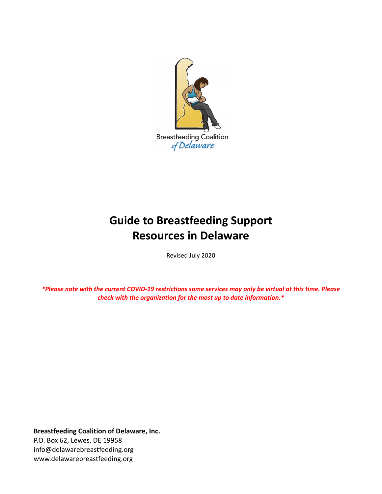

# **Guide to Breastfeeding Support Resources in Delaware**

Revised July 2020

\*Please note with the current COVID-19 restrictions some services may only be virtual at this time. Please *check with the organization for the most up to date information.\**

**Breastfeeding Coalition of Delaware, Inc.** P.O. Box 62, Lewes, DE 19958 info@delawarebreastfeeding.org www.delawarebreastfeeding.org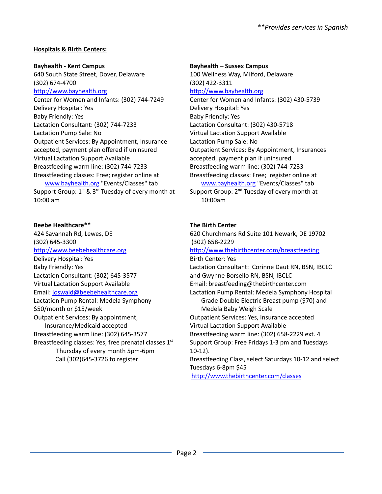# **Hospitals & Birth Centers:**

#### **Bayhealth - Kent Campus**

640 South State Street, Dover, Delaware (302) 674-4700

#### <http://www.bayhealth.org>

Center for Women and Infants: (302) 744-7249 Delivery Hospital: Yes Baby Friendly: Yes Lactation Consultant: (302) 744-7233 Lactation Pump Sale: No Outpatient Services: By Appointment, Insurance accepted, payment plan offered if uninsured Virtual Lactation Support Available Breastfeeding warm line: (302) 744-7233 Breastfeeding classes: Free; register online at [www.bayhealth.org](http://www.bayhealth.org) "Events/Classes" tab Support Group: 1<sup>st</sup> & 3<sup>rd</sup> Tuesday of every month at 10:00 am

# **Beebe Healthcare\*\***

424 Savannah Rd, Lewes, DE (302) 645-3300 <http://www.beebehealthcare.org> Delivery Hospital: Yes Baby Friendly: Yes Lactation Consultant: (302) 645-3577 Virtual Lactation Support Available Email: [joswald@beebehealthcare.org](mailto:joswald@beebehealthcare.org) Lactation Pump Rental: Medela Symphony \$50/month or \$15/week Outpatient Services: By appointment, Insurance/Medicaid accepted Breastfeeding warm line: (302) 645-3577 Breastfeeding classes: Yes, free prenatal classes  $1<sup>st</sup>$ Thursday of every month 5pm-6pm Call (302)645-3726 to register

#### **Bayhealth – Sussex Campus**

100 Wellness Way, Milford, Delaware (302) 422-3311 <http://www.bayhealth.org> Center for Women and Infants: (302) 430-5739 Delivery Hospital: Yes Baby Friendly: Yes Lactation Consultant: (302) 430-5718 Virtual Lactation Support Available Lactation Pump Sale: No Outpatient Services: By Appointment, Insurances accepted, payment plan if uninsured Breastfeeding warm line: (302) 744-7233 Breastfeeding classes: Free; register online at [www.bayhealth.org](http://www.bayhealth.org) "Events/Classes" tab

Support Group: 2<sup>nd</sup> Tuesday of every month at 10:00am

# **The Birth Center**

620 Churchmans Rd Suite 101 Newark, DE 19702 (302) 658-2229 [http://www.thebirthcenter.com/breastfeeding](https://urldefense.proofpoint.com/v2/url?u=http-3A__www.thebirthcenter.com_breastfeeding&d=CwMFaQ&c=X2IGR6v8ax_mLhSmU1r3Aw&r=hNfg2-vNTpMBLT9kuGUFljq1XpbO1lxR8DiEbdc326g&m=PIcCj5ZPpHlcAh2EHT8DUr162E3016HMeWfOAB1w0A8&s=HNwKoK3dfKpw03yc8bjZkUDsHnkacCPsArIQp9k-K1E&e=) Birth Center: Yes Lactation Consultant: Corinne Daut RN, BSN, IBCLC and Gwynne Borsello RN, BSN, IBCLC Email: breastfeeding@thebirthcenter.com Lactation Pump Rental: Medela Symphony Hospital Grade Double Electric Breast pump (\$70) and Medela Baby Weigh Scale Outpatient Services: Yes, Insurance accepted Virtual Lactation Support Available Breastfeeding warm line: (302) 658-2229 ext. 4 Support Group: Free Fridays 1-3 pm and Tuesdays 10-12). Breastfeeding Class, select Saturdays 10-12 and select Tuesdays 6-8pm \$45 [http://www.thebirthcenter.com/classes](https://urldefense.proofpoint.com/v2/url?u=http-3A__www.thebirthcenter.com_classes&d=CwMFaQ&c=X2IGR6v8ax_mLhSmU1r3Aw&r=hNfg2-vNTpMBLT9kuGUFljq1XpbO1lxR8DiEbdc326g&m=PIcCj5ZPpHlcAh2EHT8DUr162E3016HMeWfOAB1w0A8&s=F50ey7sTHZ9AWPStk-dLsTjH77peEDiQ8eZTJ37ko-A&e=)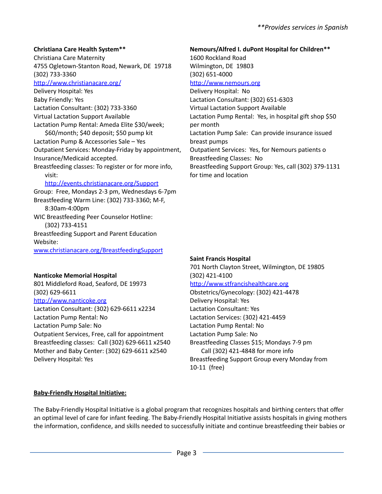# **Christiana Care Health System\*\***

Christiana Care Maternity 4755 Ogletown-Stanton Road, Newark, DE 19718 (302) 733-3360 <http://www.christianacare.org/>

Delivery Hospital: Yes Baby Friendly: Yes Lactation Consultant: (302) 733-3360 Virtual Lactation Support Available Lactation Pump Rental: Ameda Elite \$30/week; \$60/month; \$40 deposit; \$50 pump kit

Lactation Pump & Accessories Sale – Yes Outpatient Services: Monday-Friday by appointment, Insurance/Medicaid accepted.

Breastfeeding classes: To register or for more info, visit:

# <http://events.christianacare.org/Support>

Group: Free, Mondays 2-3 pm, Wednesdays 6-7pm Breastfeeding Warm Line: (302) 733-3360; M-F, 8:30am-4:00pm WIC Breastfeeding Peer Counselor Hotline: (302) 733-4151 Breastfeeding Support and Parent Education Website: [www.christianacare.org/BreastfeedingSupport](http://www.christianacare.org/BreastfeedingSupport)

# **Nanticoke Memorial Hospital**

801 Middleford Road, Seaford, DE 19973 (302) 629-6611 <http://www.nanticoke.org>

Lactation Consultant: (302) 629-6611 x2234 Lactation Pump Rental: No Lactation Pump Sale: No Outpatient Services, Free, call for appointment Breastfeeding classes: Call (302) 629-6611 x2540 Mother and Baby Center: (302) 629-6611 x2540 Delivery Hospital: Yes

**Nemours/Alfred I. duPont Hospital for Children\*\*** 1600 Rockland Road Wilmington, DE 19803 (302) 651-4000 <http://www.nemours.org> Delivery Hospital: No Lactation Consultant: (302) 651-6303 Virtual Lactation Support Available Lactation Pump Rental: Yes, in hospital gift shop \$50 per month Lactation Pump Sale: Can provide insurance issued breast pumps Outpatient Services: Yes, for Nemours patients o Breastfeeding Classes: No Breastfeeding Support Group: Yes, call (302) 379-1131 for time and location

# **Saint Francis Hospital**

701 North Clayton Street, Wilmington, DE 19805 (302) 421-4100 <http://www.stfrancishealthcare.org> Obstetrics/Gynecology: (302) 421-4478 Delivery Hospital: Yes Lactation Consultant: Yes Lactation Services: (302) 421-4459 Lactation Pump Rental: No Lactation Pump Sale: No Breastfeeding Classes \$15; Mondays 7-9 pm Call (302) 421-4848 for more info Breastfeeding Support Group every Monday from 10-11 (free)

# **Baby-Friendly Hospital Initiative:**

The Baby-Friendly Hospital Initiative is a global program that recognizes hospitals and birthing centers that offer an optimal level of care for infant feeding. The Baby-Friendly Hospital Initiative assists hospitals in giving mothers the information, confidence, and skills needed to successfully initiate and continue breastfeeding their babies or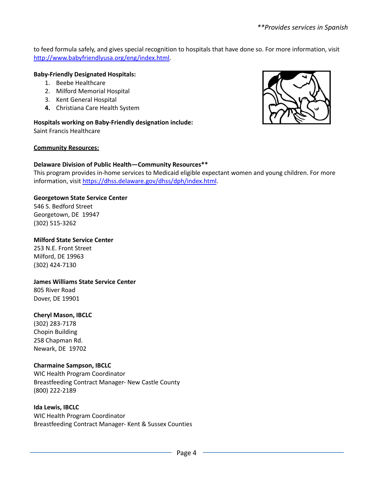to feed formula safely, and gives special recognition to hospitals that have done so. For more information, visit [http://www.babyfriendlyusa.org/eng/index.html.](http://www.babyfriendlyusa.org/eng/index.html)

## **Baby-Friendly Designated Hospitals:**

- 1. Beebe Healthcare
- 2. Milford Memorial Hospital
- 3. Kent General Hospital
- **4.** Christiana Care Health System

**Hospitals working on Baby-Friendly designation include:** Saint Francis Healthcare

#### **Community Resources:**

## **Delaware Division of Public Health—Community Resources\*\***

This program provides in-home services to Medicaid eligible expectant women and young children. For more information, visit <https://dhss.delaware.gov/dhss/dph/index.html>.

## **Georgetown State Service Center**

546 S. Bedford Street Georgetown, DE 19947 (302) 515-3262

#### **Milford State Service Center**

253 N.E. Front Street Milford, DE 19963 (302) 424-7130

#### **James Williams State Service Center**

805 River Road Dover, DE 19901

#### **Cheryl Mason, IBCLC**

(302) 283-7178 Chopin Building 258 Chapman Rd. Newark, DE 19702

#### **Charmaine Sampson, IBCLC**

WIC Health Program Coordinator Breastfeeding Contract Manager- New Castle County (800) 222-2189

#### **Ida Lewis, IBCLC**

WIC Health Program Coordinator Breastfeeding Contract Manager- Kent & Sussex Counties

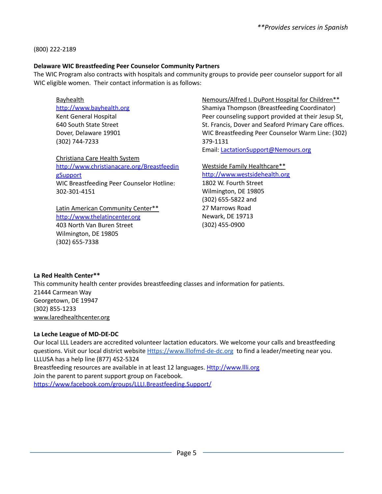(800) 222-2189

## **Delaware WIC Breastfeeding Peer Counselor Community Partners**

The WIC Program also contracts with hospitals and community groups to provide peer counselor support for all WIC eligible women. Their contact information is as follows:

**Bayhealth** 

<http://www.bayhealth.org> Kent General Hospital 640 South State Street Dover, Delaware 19901 (302) 744-7233

Christiana Care Health System [http://www.christianacare.org/Breastfeedin](http://www.christianacare.org/BreastfeedingSupport) **[gSupport](http://www.christianacare.org/BreastfeedingSupport)** WIC Breastfeeding Peer Counselor Hotline: 302-301-4151

Latin American Community Center\*\* <http://www.thelatincenter.org> 403 North Van Buren Street Wilmington, DE 19805 (302) 655-7338

Nemours/Alfred I. DuPont Hospital for Children\*\* Shamiya Thompson (Breastfeeding Coordinator) Peer counseling support provided at their Jesup St, St. Francis, Dover and Seaford Primary Care offices. WIC Breastfeeding Peer Counselor Warm Line: (302) 379-1131

Email: [LactationSupport@Nemours.org](mailto:LactationSupport@Nemours.org)

Westside Family Healthcare\*\* <http://www.westsidehealth.org> 1802 W. Fourth Street Wilmington, DE 19805 (302) 655-5822 and 27 Marrows Road Newark, DE 19713 (302) 455-0900

**La Red Health Center\*\***

This community health center provides breastfeeding classes and information for patients. 21444 Carmean Way Georgetown, DE 19947 (302) 855-1233 [www.laredhealthcenter.org](http://www.laredhealthcenter.org)

# **La Leche League of MD-DE-DC**

Our local LLL Leaders are accredited volunteer lactation educators. We welcome your calls and breastfeeding questions. Visit our local district website [Https://www.lllofmd-de-dc.org](https://www.lllofmd-de-dc.org) to find a leader/meeting near you. LLLUSA has a help line (877) 452-5324 Breastfeeding resources are available in at least 12 languages. [Http://www.llli.org](http://www.llli.org) Join the parent to parent support group on Facebook. <https://www.facebook.com/groups/LLLI.Breastfeeding.Support/>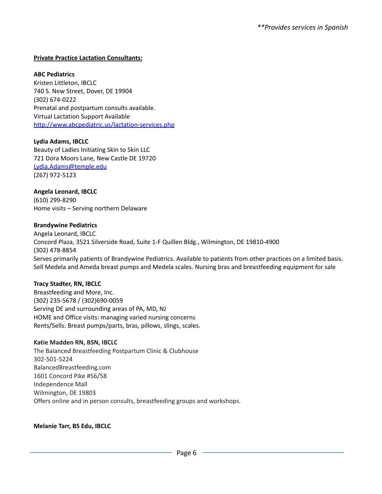## **Private Practice Lactation Consultants:**

#### **ABC Pediatrics**

Kristen Littleton, IBCLC 740 S. New Street, Dover, DE 19904 (302) 674-0222 Prenatal and postpartum consults available. Virtual Lactation Support Available http://www.abcpediatric.us/lactation-services.php

#### **Lydia Adams, IBCLC**

Beauty of Ladies Initiating Skin to Skin LLC 721 Dora Moors Lane, New Castle DE 19720 [Lydia.Adams@temple.edu](mailto:Lydia.Adams@temple.edu) (267) 972-5123

## **Angela Leonard, IBCLC**

(610) 299-8290 Home visits – Serving northern Delaware

#### **Brandywine Pediatrics**

Angela Leonard, IBCLC Concord Plaza, 3521 Silverside Road, Suite 1-F Quillen Bldg., Wilmington, DE 19810-4900 (302) 478-8854 Serves primarily patients of Brandywine Pediatrics. Available to patients from other practices on a limited basis. Sell Medela and Ameda breast pumps and Medela scales. Nursing bras and breastfeeding equipment for sale

#### **Tracy Stadter, RN, IBCLC**

Breastfeeding and More, Inc. (302) 235-5678 / (302)690-0059 Serving DE and surrounding areas of PA, MD, NJ HOME and Office visits: managing varied nursing concerns Rents/Sells: Breast pumps/parts, bras, pillows, slings, scales.

#### **Katie Madden RN, BSN, IBCLC**

The Balanced Breastfeeding Postpartum Clinic & Clubhouse 302-501-5224 BalancedBreastfeeding.com 1601 Concord Pike #56/58 Independence Mall Wilmington, DE 19803 Offers online and in person consults, breastfeeding groups and workshops.

#### **Melanie Tarr, BS Edu, IBCLC**